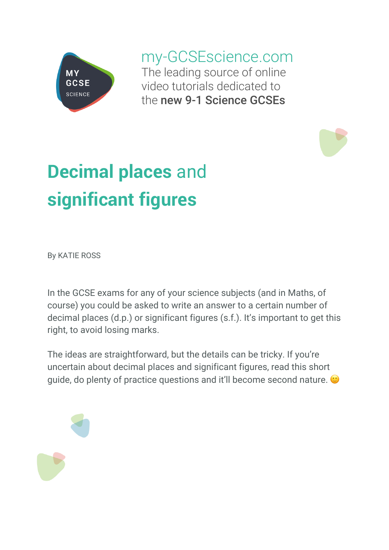

my-GCSEscience.com The leading source of online video tutorials dedicated to the new 9-1 Science GCSEs

# **Decimal places** and **significant figures**

By KATIE ROSS

In the GCSE exams for any of your science subjects (and in Maths, of course) you could be asked to write an answer to a certain number of decimal places (d.p.) or significant figures (s.f.). It's important to get this right, to avoid losing marks.

The ideas are straightforward, but the details can be tricky. If you're uncertain about decimal places and significant figures, read this short guide, do plenty of practice questions and it'll become second nature.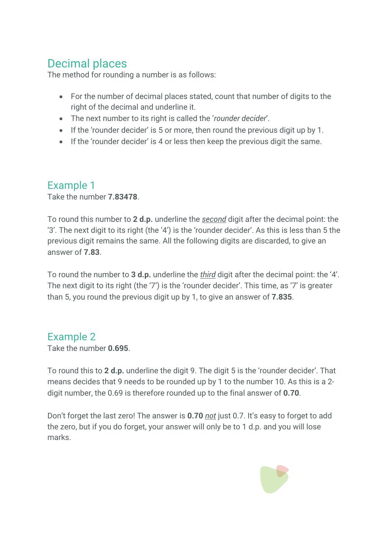## Decimal places

The method for rounding a number is as follows:

- For the number of decimal places stated, count that number of digits to the right of the decimal and underline it.
- The next number to its right is called the '*rounder decider*'.
- If the 'rounder decider' is 5 or more, then round the previous digit up by 1.
- If the 'rounder decider' is 4 or less then keep the previous digit the same.

### Example 1

Take the number **7.83478**.

To round this number to **2 d.p.** underline the *second* digit after the decimal point: the '3'. The next digit to its right (the '4') is the 'rounder decider'. As this is less than 5 the previous digit remains the same. All the following digits are discarded, to give an answer of **7.83**.

To round the number to **3 d.p.** underline the *third* digit after the decimal point: the '4'. The next digit to its right (the '7') is the 'rounder decider'. This time, as '7' is greater than 5, you round the previous digit up by 1, to give an answer of **7.835**.

#### Example 2

Take the number **0.695**.

To round this to **2 d.p.** underline the digit 9. The digit 5 is the 'rounder decider'. That means decides that 9 needs to be rounded up by 1 to the number 10. As this is a 2 digit number, the 0.69 is therefore rounded up to the final answer of **0.70**.

Don't forget the last zero! The answer is **0.70** *not* just 0.7. It's easy to forget to add the zero, but if you do forget, your answer will only be to 1 d.p. and you will lose marks.